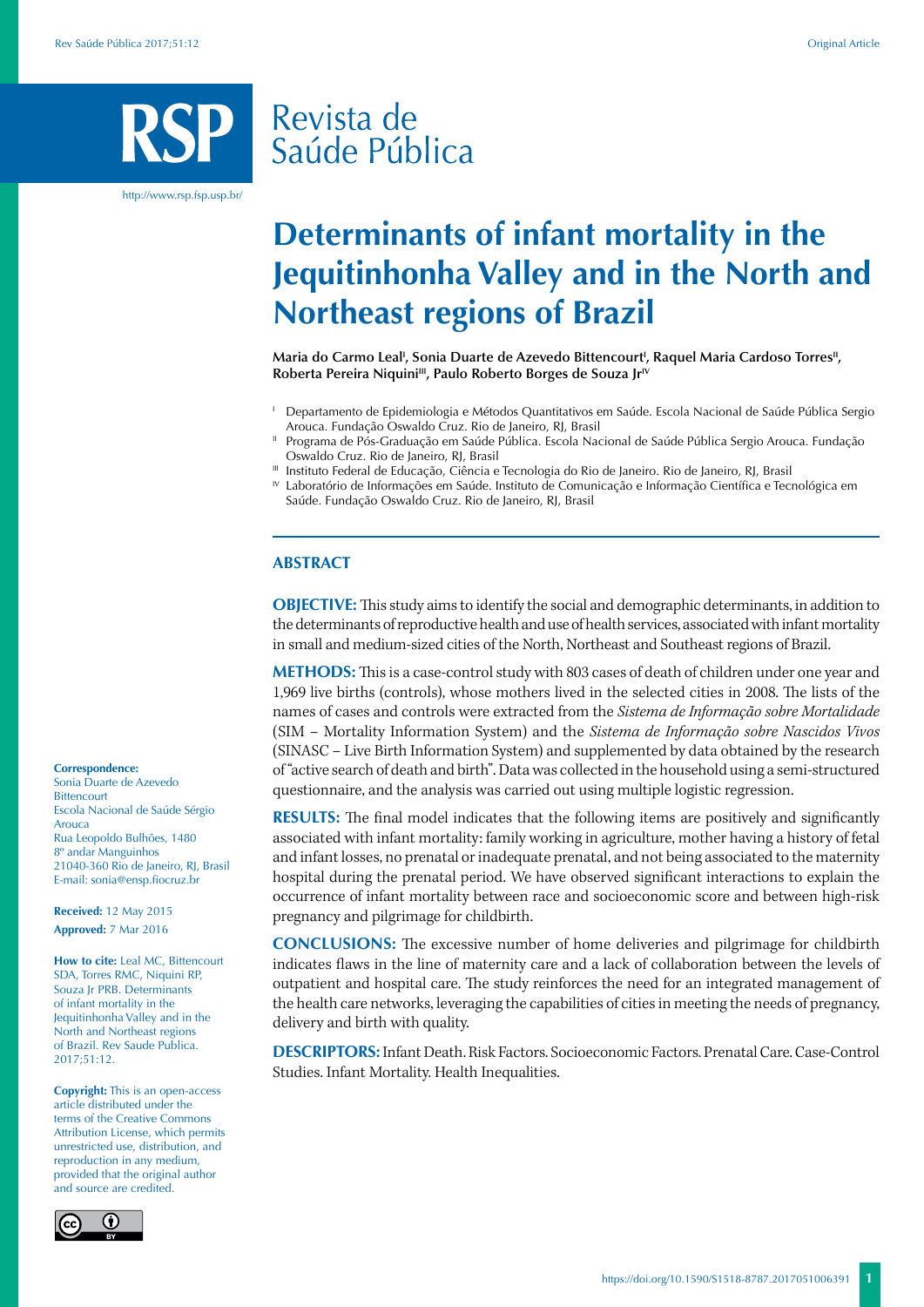# Revista de Saúde Pública

http://www.rsp.fsp.usp.br/

## **Determinants of infant mortality in the Jequitinhonha Valley and in the North and Northeast regions of Brazil**

Maria do Carmo Leal<sup>i</sup>, Sonia Duarte de Azevedo Bittencourt<sup>i</sup>, Raquel Maria Cardoso Torres<sup>ii</sup>, Roberta Pereira Niquini<sup>III</sup>, Paulo Roberto Borges de Souza Jr<sup>IV</sup>

- <sup>1</sup> Departamento de Epidemiologia e Métodos Quantitativos em Saúde. Escola Nacional de Saúde Pública Sergio Arouca. Fundação Oswaldo Cruz. Rio de Janeiro, RJ, Brasil
- Programa de Pós-Graduação em Saúde Pública. Escola Nacional de Saúde Pública Sergio Arouca. Fundação Oswaldo Cruz. Rio de Janeiro, RJ, Brasil
- Instituto Federal de Educação, Ciência e Tecnologia do Rio de Janeiro. Rio de Janeiro, RJ, Brasil
- IV Laboratório de Informações em Saúde. Instituto de Comunicação e Informação Científica e Tecnológica em Saúde. Fundação Oswaldo Cruz. Rio de Janeiro, RJ, Brasil

#### **ABSTRACT**

**OBJECTIVE:** This study aims to identify the social and demographic determinants, in addition to the determinants of reproductive health and use of health services, associated with infant mortality in small and medium-sized cities of the North, Northeast and Southeast regions of Brazil.

**METHODS:** This is a case-control study with 803 cases of death of children under one year and 1,969 live births (controls), whose mothers lived in the selected cities in 2008. The lists of the names of cases and controls were extracted from the *Sistema de Informação sobre Mortalidade*  (SIM – Mortality Information System) and the *Sistema de Informação sobre Nascidos Vivos* (SINASC – Live Birth Information System) and supplemented by data obtained by the research of "active search of death and birth". Data was collected in the household using a semi-structured questionnaire, and the analysis was carried out using multiple logistic regression.

**RESULTS:** The final model indicates that the following items are positively and significantly associated with infant mortality: family working in agriculture, mother having a history of fetal and infant losses, no prenatal or inadequate prenatal, and not being associated to the maternity hospital during the prenatal period. We have observed significant interactions to explain the occurrence of infant mortality between race and socioeconomic score and between high-risk pregnancy and pilgrimage for childbirth.

**CONCLUSIONS:** The excessive number of home deliveries and pilgrimage for childbirth indicates flaws in the line of maternity care and a lack of collaboration between the levels of outpatient and hospital care. The study reinforces the need for an integrated management of the health care networks, leveraging the capabilities of cities in meeting the needs of pregnancy, delivery and birth with quality.

**DESCRIPTORS:** Infant Death. Risk Factors. Socioeconomic Factors. Prenatal Care. Case-Control Studies. Infant Mortality. Health Inequalities.

#### **Correspondence:**

Sonia Duarte de Azevedo **Bittencourt** Escola Nacional de Saúde Sérgio Arouca Rua Leopoldo Bulhões, 1480 8º andar Manguinhos 21040-360 Rio de Janeiro, RJ, Brasil E-mail: [sonia@ensp.fiocruz.br](mailto:sonia@ensp.fiocruz.br)

**Received:** 12 May 2015 **Approved:** 7 Mar 2016

**How to cite:** Leal MC, Bittencourt SDA, Torres RMC, Niquini RP, Souza Jr PRB. Determinants of infant mortality in the Jequitinhonha Valley and in the North and Northeast regions of Brazil. Rev Saude Publica. 2017;51:12.

**Copyright:** This is an open-access article distributed under the terms of the Creative Commons Attribution License, which permits unrestricted use, distribution, and reproduction in any medium, provided that the original author and source are credited.

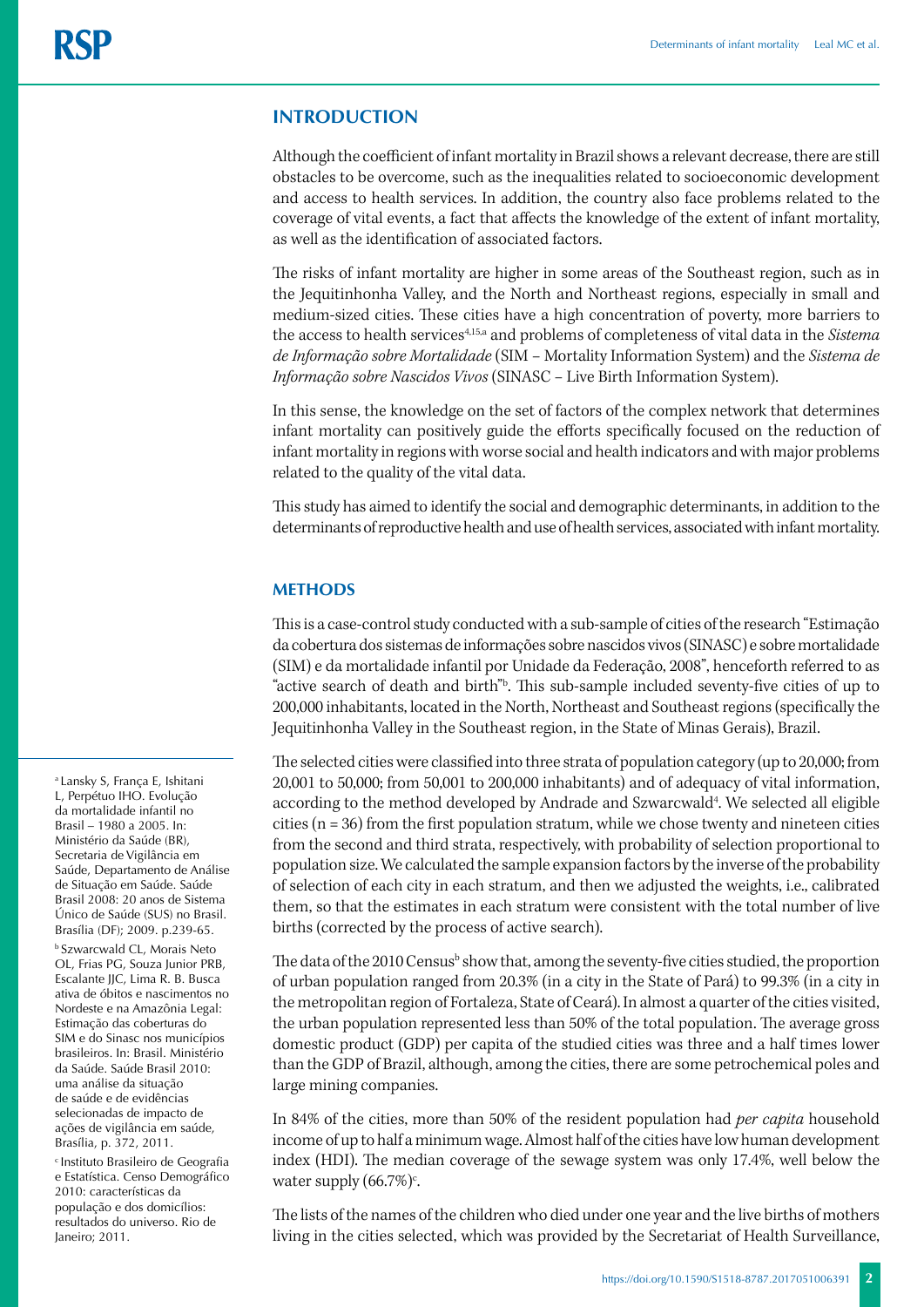#### **INTRODUCTION**

Although the coefficient of infant mortality in Brazil shows a relevant decrease, there are still obstacles to be overcome, such as the inequalities related to socioeconomic development and access to health services. In addition, the country also face problems related to the coverage of vital events, a fact that affects the knowledge of the extent of infant mortality, as well as the identification of associated factors.

The risks of infant mortality are higher in some areas of the Southeast region, such as in the Jequitinhonha Valley, and the North and Northeast regions, especially in small and medium-sized cities. These cities have a high concentration of poverty, more barriers to the access to health services4,15,a and problems of completeness of vital data in the *Sistema de Informação sobre Mortalidade* (SIM – Mortality Information System) and the *Sistema de Informação sobre Nascidos Vivos* (SINASC – Live Birth Information System).

In this sense, the knowledge on the set of factors of the complex network that determines infant mortality can positively guide the efforts specifically focused on the reduction of infant mortality in regions with worse social and health indicators and with major problems related to the quality of the vital data.

This study has aimed to identify the social and demographic determinants, in addition to the determinants of reproductive health and use of health services, associated with infant mortality.

#### **METHODS**

This is a case-control study conducted with a sub-sample of cities of the research "Estimação da cobertura dos sistemas de informações sobre nascidos vivos (SINASC) e sobre mortalidade (SIM) e da mortalidade infantil por Unidade da Federação, 2008", henceforth referred to as "active search of death and birth"<sup>b</sup>. This sub-sample included seventy-five cities of up to 200,000 inhabitants, located in the North, Northeast and Southeast regions (specifically the Jequitinhonha Valley in the Southeast region, in the State of Minas Gerais), Brazil.

The selected cities were classified into three strata of population category (up to 20,000; from 20,001 to 50,000; from 50,001 to 200,000 inhabitants) and of adequacy of vital information, according to the method developed by Andrade and Szwarcwald<sup>4</sup>. We selected all eligible cities  $(n = 36)$  from the first population stratum, while we chose twenty and nineteen cities from the second and third strata, respectively, with probability of selection proportional to population size. We calculated the sample expansion factors by the inverse of the probability of selection of each city in each stratum, and then we adjusted the weights, i.e., calibrated them, so that the estimates in each stratum were consistent with the total number of live births (corrected by the process of active search).

The data of the 2010 Census<sup>b</sup> show that, among the seventy-five cities studied, the proportion of urban population ranged from 20.3% (in a city in the State of Pará) to 99.3% (in a city in the metropolitan region of Fortaleza, State of Ceará). In almost a quarter of the cities visited, the urban population represented less than 50% of the total population. The average gross domestic product (GDP) per capita of the studied cities was three and a half times lower than the GDP of Brazil, although, among the cities, there are some petrochemical poles and large mining companies.

In 84% of the cities, more than 50% of the resident population had *per capita* household income of up to half a minimum wage. Almost half of the cities have low human development index (HDI). The median coverage of the sewage system was only 17.4%, well below the water supply  $(66.7\%)^c$ . .

The lists of the names of the children who died under one year and the live births of mothers living in the cities selected, which was provided by the Secretariat of Health Surveillance,

a Lansky S, França E, Ishitani L, Perpétuo IHO. Evolução da mortalidade infantil no Brasil – 1980 a 2005. In: Ministério da Saúde (BR), Secretaria de Vigilância em Saúde, Departamento de Análise de Situação em Saúde. Saúde Brasil 2008: 20 anos de Sistema Único de Saúde (SUS) no Brasil. Brasília (DF); 2009. p.239-65.

b Szwarcwald CL, Morais Neto OL, Frias PG, Souza Junior PRB, Escalante JJC, Lima R. B. Busca ativa de óbitos e nascimentos no Nordeste e na Amazônia Legal: Estimação das coberturas do SIM e do Sinasc nos municípios brasileiros. In: Brasil. Ministério da Saúde. Saúde Brasil 2010: uma análise da situação de saúde e de evidências selecionadas de impacto de ações de vigilância em saúde, Brasília, p. 372, 2011.

c Instituto Brasileiro de Geografia e Estatística. Censo Demográfico 2010: características da população e dos domicílios: resultados do universo. Rio de Janeiro; 2011.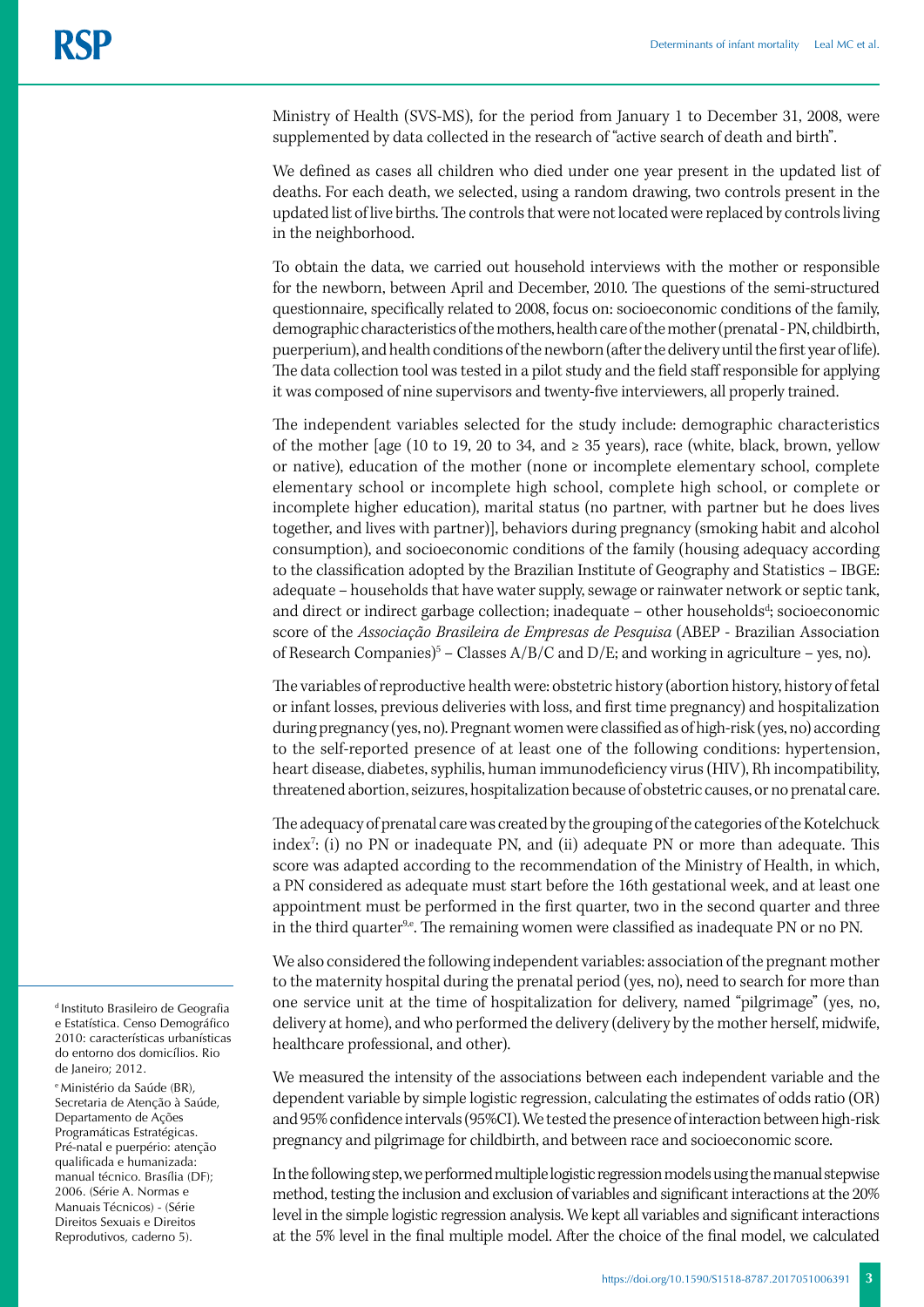Ministry of Health (SVS-MS), for the period from January 1 to December 31, 2008, were supplemented by data collected in the research of "active search of death and birth".

We defined as cases all children who died under one year present in the updated list of deaths. For each death, we selected, using a random drawing, two controls present in the updated list of live births. The controls that were not located were replaced by controls living in the neighborhood.

To obtain the data, we carried out household interviews with the mother or responsible for the newborn, between April and December, 2010. The questions of the semi-structured questionnaire, specifically related to 2008, focus on: socioeconomic conditions of the family, demographic characteristics of the mothers, health care of the mother (prenatal - PN, childbirth, puerperium), and health conditions of the newborn (after the delivery until the first year of life). The data collection tool was tested in a pilot study and the field staff responsible for applying it was composed of nine supervisors and twenty-five interviewers, all properly trained.

The independent variables selected for the study include: demographic characteristics of the mother [age (10 to 19, 20 to 34, and  $\geq$  35 years), race (white, black, brown, yellow or native), education of the mother (none or incomplete elementary school, complete elementary school or incomplete high school, complete high school, or complete or incomplete higher education), marital status (no partner, with partner but he does lives together, and lives with partner)], behaviors during pregnancy (smoking habit and alcohol consumption), and socioeconomic conditions of the family (housing adequacy according to the classification adopted by the Brazilian Institute of Geography and Statistics – IBGE: adequate – households that have water supply, sewage or rainwater network or septic tank, and direct or indirect garbage collection; inadequate – other households<sup>d</sup>; socioeconomic score of the *Associação Brasileira de Empresas de Pesquisa* (ABEP - Brazilian Association of Research Companies)<sup>5</sup> – Classes A/B/C and D/E; and working in agriculture – yes, no).

The variables of reproductive health were: obstetric history (abortion history, history of fetal or infant losses, previous deliveries with loss, and first time pregnancy) and hospitalization during pregnancy (yes, no). Pregnant women were classified as of high-risk (yes, no) according to the self-reported presence of at least one of the following conditions: hypertension, heart disease, diabetes, syphilis, human immunodeficiency virus (HIV), Rh incompatibility, threatened abortion, seizures, hospitalization because of obstetric causes, or no prenatal care.

The adequacy of prenatal care was created by the grouping of the categories of the Kotelchuck index7 : (i) no PN or inadequate PN, and (ii) adequate PN or more than adequate. This score was adapted according to the recommendation of the Ministry of Health, in which, a PN considered as adequate must start before the 16th gestational week, and at least one appointment must be performed in the first quarter, two in the second quarter and three in the third quarter<sup>9,e</sup>. The remaining women were classified as inadequate PN or no PN.

We also considered the following independent variables: association of the pregnant mother to the maternity hospital during the prenatal period (yes, no), need to search for more than one service unit at the time of hospitalization for delivery, named "pilgrimage" (yes, no, delivery at home), and who performed the delivery (delivery by the mother herself, midwife, healthcare professional, and other).

We measured the intensity of the associations between each independent variable and the dependent variable by simple logistic regression, calculating the estimates of odds ratio (OR) and 95% confidence intervals (95%CI). We tested the presence of interaction between high-risk pregnancy and pilgrimage for childbirth, and between race and socioeconomic score.

In the following step, we performed multiple logistic regression models using the manual stepwise method, testing the inclusion and exclusion of variables and significant interactions at the 20% level in the simple logistic regression analysis. We kept all variables and significant interactions at the 5% level in the final multiple model. After the choice of the final model, we calculated

d Instituto Brasileiro de Geografia e Estatística. Censo Demográfico 2010: características urbanísticas do entorno dos domicílios. Rio de Janeiro; 2012.

e Ministério da Saúde (BR), Secretaria de Atenção à Saúde, Departamento de Ações Programáticas Estratégicas. Pré-natal e puerpério: atenção qualificada e humanizada: manual técnico. Brasília (DF); 2006. (Série A. Normas e Manuais Técnicos) - (Série Direitos Sexuais e Direitos Reprodutivos, caderno 5).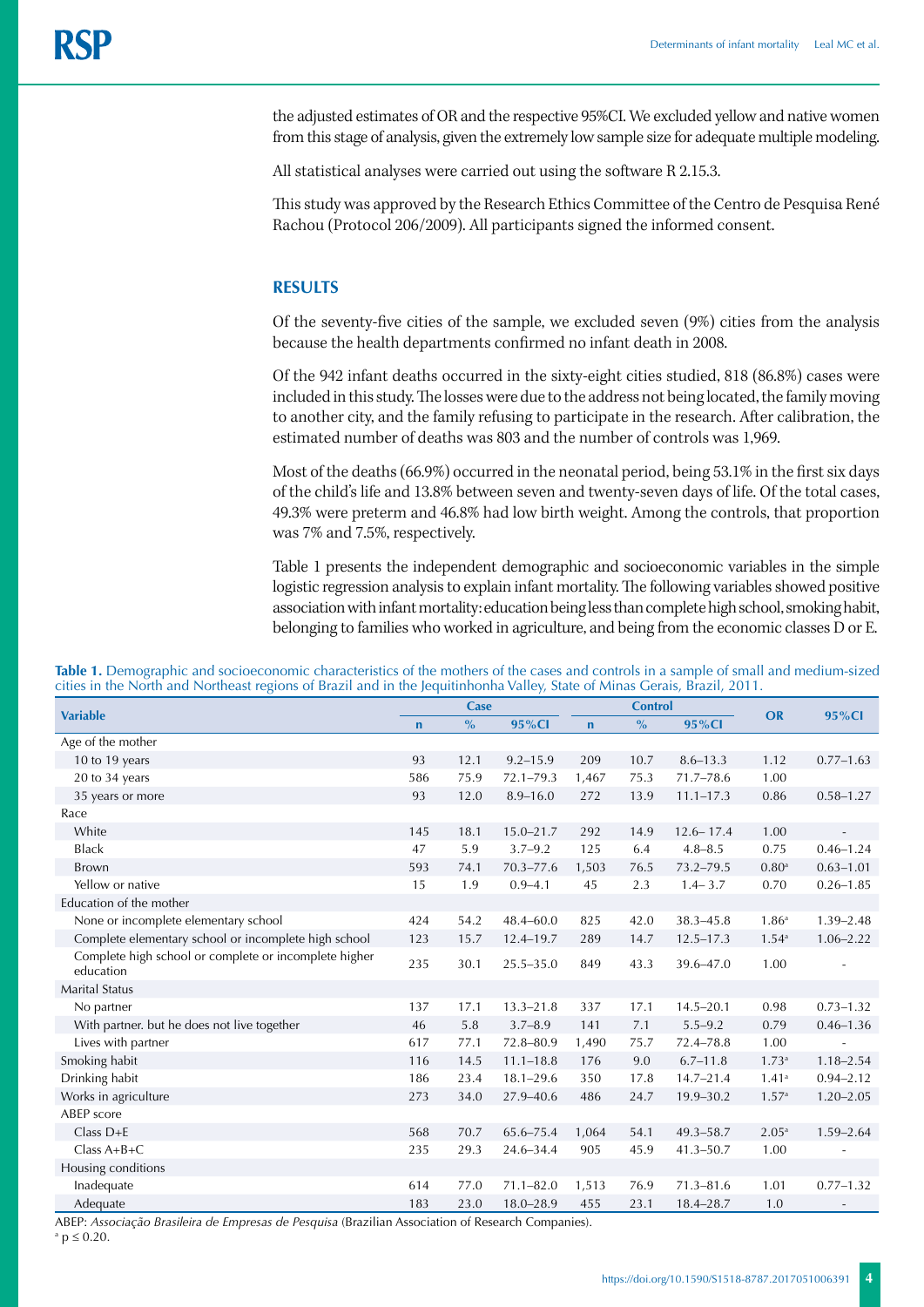the adjusted estimates of OR and the respective 95%CI. We excluded yellow and native women from this stage of analysis, given the extremely low sample size for adequate multiple modeling.

All statistical analyses were carried out using the software R 2.15.3.

This study was approved by the Research Ethics Committee of the Centro de Pesquisa René Rachou (Protocol 206/2009). All participants signed the informed consent.

#### **RESULTS**

Of the seventy-five cities of the sample, we excluded seven (9%) cities from the analysis because the health departments confirmed no infant death in 2008.

Of the 942 infant deaths occurred in the sixty-eight cities studied, 818 (86.8%) cases were included in this study. The losses were due to the address not being located, the family moving to another city, and the family refusing to participate in the research. After calibration, the estimated number of deaths was 803 and the number of controls was 1,969.

Most of the deaths (66.9%) occurred in the neonatal period, being 53.1% in the first six days of the child's life and 13.8% between seven and twenty-seven days of life. Of the total cases, 49.3% were preterm and 46.8% had low birth weight. Among the controls, that proportion was 7% and 7.5%, respectively.

Table 1 presents the independent demographic and socioeconomic variables in the simple logistic regression analysis to explain infant mortality. The following variables showed positive association with infant mortality: education being less than complete high school, smoking habit, belonging to families who worked in agriculture, and being from the economic classes D or E.

|                                                                    |             | Case          |               | <b>Control</b> |               |               |                   |                          |
|--------------------------------------------------------------------|-------------|---------------|---------------|----------------|---------------|---------------|-------------------|--------------------------|
| <b>Variable</b>                                                    | $\mathbf n$ | $\frac{0}{0}$ | 95%CI         | $\mathbf n$    | $\frac{0}{0}$ | 95%Cl         | <b>OR</b>         | 95%CI                    |
| Age of the mother                                                  |             |               |               |                |               |               |                   |                          |
| 10 to 19 years                                                     | 93          | 12.1          | $9.2 - 15.9$  | 209            | 10.7          | $8.6 - 13.3$  | 1.12              | $0.77 - 1.63$            |
| 20 to 34 years                                                     | 586         | 75.9          | $72.1 - 79.3$ | 1,467          | 75.3          | $71.7 - 78.6$ | 1.00              |                          |
| 35 years or more                                                   | 93          | 12.0          | $8.9 - 16.0$  | 272            | 13.9          | $11.1 - 17.3$ | 0.86              | $0.58 - 1.27$            |
| Race                                                               |             |               |               |                |               |               |                   |                          |
| White                                                              | 145         | 18.1          | $15.0 - 21.7$ | 292            | 14.9          | $12.6 - 17.4$ | 1.00              |                          |
| <b>Black</b>                                                       | 47          | 5.9           | $3.7 - 9.2$   | 125            | 6.4           | $4.8 - 8.5$   | 0.75              | $0.46 - 1.24$            |
| Brown                                                              | 593         | 74.1          | $70.3 - 77.6$ | 1,503          | 76.5          | $73.2 - 79.5$ | 0.80 <sup>a</sup> | $0.63 - 1.01$            |
| Yellow or native                                                   | 15          | 1.9           | $0.9 - 4.1$   | 45             | 2.3           | $1.4 - 3.7$   | 0.70              | $0.26 - 1.85$            |
| Education of the mother                                            |             |               |               |                |               |               |                   |                          |
| None or incomplete elementary school                               | 424         | 54.2          | 48.4-60.0     | 825            | 42.0          | 38.3-45.8     | 1.86 <sup>a</sup> | $1.39 - 2.48$            |
| Complete elementary school or incomplete high school               | 123         | 15.7          | 12.4-19.7     | 289            | 14.7          | $12.5 - 17.3$ | 1.54 <sup>a</sup> | $1.06 - 2.22$            |
| Complete high school or complete or incomplete higher<br>education | 235         | 30.1          | $25.5 - 35.0$ | 849            | 43.3          | 39.6-47.0     | 1.00              |                          |
| <b>Marital Status</b>                                              |             |               |               |                |               |               |                   |                          |
| No partner                                                         | 137         | 17.1          | $13.3 - 21.8$ | 337            | 17.1          | $14.5 - 20.1$ | 0.98              | $0.73 - 1.32$            |
| With partner. but he does not live together                        | 46          | 5.8           | $3.7 - 8.9$   | 141            | 7.1           | $5.5 - 9.2$   | 0.79              | $0.46 - 1.36$            |
| Lives with partner                                                 | 617         | 77.1          | 72.8-80.9     | 1,490          | 75.7          | 72.4-78.8     | 1.00              |                          |
| Smoking habit                                                      | 116         | 14.5          | $11.1 - 18.8$ | 176            | 9.0           | $6.7 - 11.8$  | 1.73 <sup>a</sup> | $1.18 - 2.54$            |
| Drinking habit                                                     | 186         | 23.4          | $18.1 - 29.6$ | 350            | 17.8          | $14.7 - 21.4$ | 1.41 <sup>a</sup> | $0.94 - 2.12$            |
| Works in agriculture                                               | 273         | 34.0          | 27.9-40.6     | 486            | 24.7          | 19.9-30.2     | 1.57 <sup>a</sup> | $1.20 - 2.05$            |
| ABEP score                                                         |             |               |               |                |               |               |                   |                          |
| $Class D+E$                                                        | 568         | 70.7          | 65.6-75.4     | 1,064          | 54.1          | $49.3 - 58.7$ | 2.05 <sup>a</sup> | $1.59 - 2.64$            |
| $Class A+B+C$                                                      | 235         | 29.3          | 24.6-34.4     | 905            | 45.9          | $41.3 - 50.7$ | 1.00              |                          |
| Housing conditions                                                 |             |               |               |                |               |               |                   |                          |
| Inadequate                                                         | 614         | 77.0          | $71.1 - 82.0$ | 1,513          | 76.9          | $71.3 - 81.6$ | 1.01              | $0.77 - 1.32$            |
| Adequate                                                           | 183         | 23.0          | 18.0-28.9     | 455            | 23.1          | 18.4-28.7     | 1.0               | $\overline{\phantom{a}}$ |

**Table 1.** Demographic and socioeconomic characteristics of the mothers of the cases and controls in a sample of small and medium-sized cities in the North and Northeast regions of Brazil and in the Jequitinhonha Valley, State of Minas Gerais, Brazil, 2011.

ABEP: *Associação Brasileira de Empresas de Pesquisa* (Brazilian Association of Research Companies). a  $a_{\rm D} \leq 0.20$ .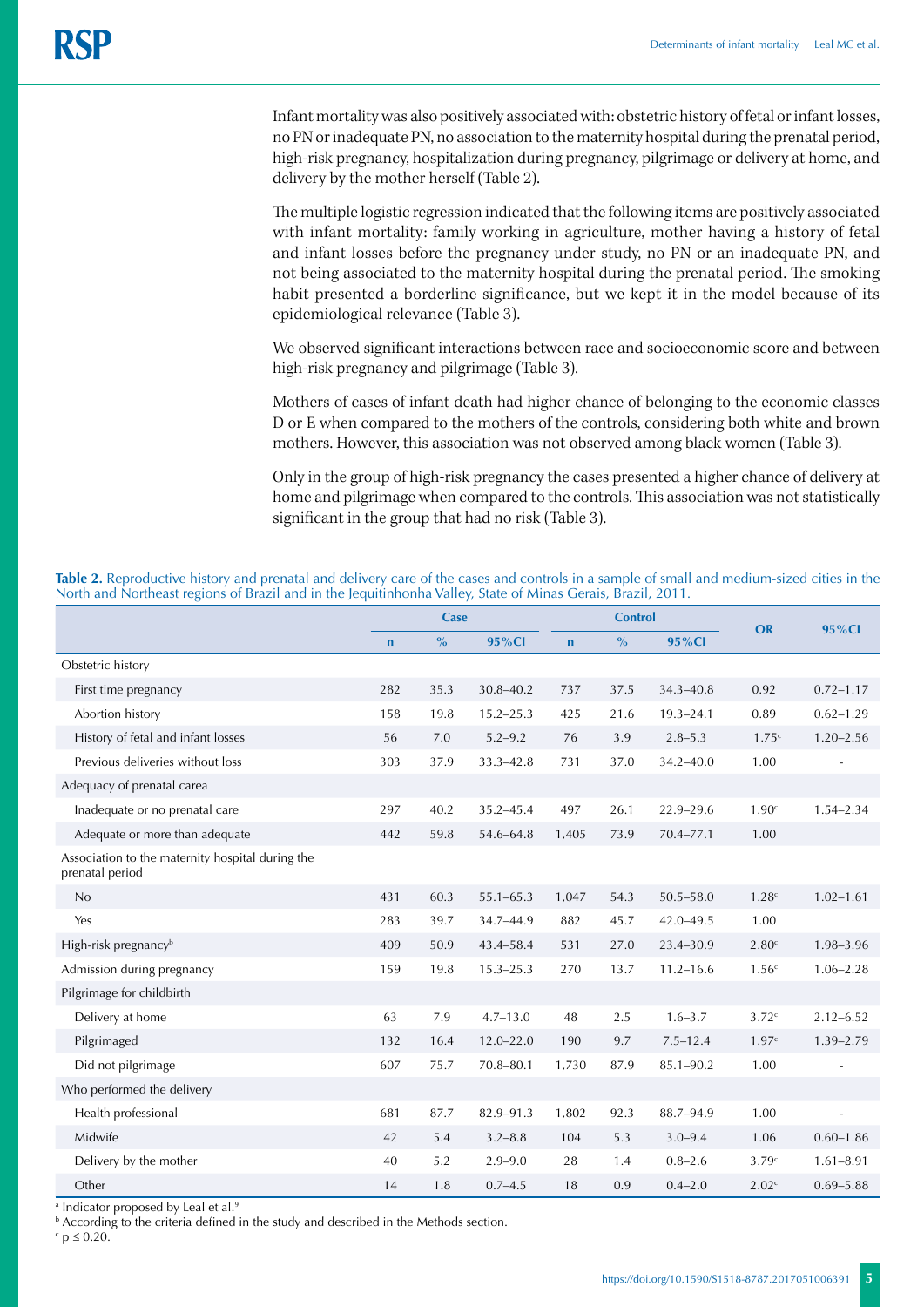Infant mortality was also positively associated with: obstetric history of fetal or infant losses, no PN or inadequate PN, no association to the maternity hospital during the prenatal period, high-risk pregnancy, hospitalization during pregnancy, pilgrimage or delivery at home, and delivery by the mother herself (Table 2).

The multiple logistic regression indicated that the following items are positively associated with infant mortality: family working in agriculture, mother having a history of fetal and infant losses before the pregnancy under study, no PN or an inadequate PN, and not being associated to the maternity hospital during the prenatal period. The smoking habit presented a borderline significance, but we kept it in the model because of its epidemiological relevance (Table 3).

We observed significant interactions between race and socioeconomic score and between high-risk pregnancy and pilgrimage (Table 3).

Mothers of cases of infant death had higher chance of belonging to the economic classes D or E when compared to the mothers of the controls, considering both white and brown mothers. However, this association was not observed among black women (Table 3).

Only in the group of high-risk pregnancy the cases presented a higher chance of delivery at home and pilgrimage when compared to the controls. This association was not statistically significant in the group that had no risk (Table 3).

| Twith and Profileast regions of Brazil and in the jequitimornia valiety state of Minas Gerals, Brazil, 2011. |     |      |      |               |         |      |           |      |               |
|--------------------------------------------------------------------------------------------------------------|-----|------|------|---------------|---------|------|-----------|------|---------------|
|                                                                                                              |     | Case |      |               | Control |      |           | OR   | $95\%$ CI     |
|                                                                                                              | n   |      | $\%$ | $95\%$ Cl     |         | $\%$ | $95\%$ CI |      |               |
| Obstetric history                                                                                            |     |      |      |               |         |      |           |      |               |
| First time pregnancy                                                                                         | 282 |      | 35.3 | 30.8–40.2 737 |         | 37.5 | 34.3–40.8 | 0.92 | $0.72 - 1.17$ |

| <b>Table 2.</b> Reproductive history and prenatal and delivery care of the cases and controls in a sample of small and medium-sized cities in the |  |
|---------------------------------------------------------------------------------------------------------------------------------------------------|--|
| North and Northeast regions of Brazil and in the Jequitinhonha Valley, State of Minas Gerais, Brazil, 2011.                                       |  |

| Obstetric history                                                   |     |      |               |       |      |               |                   |               |
|---------------------------------------------------------------------|-----|------|---------------|-------|------|---------------|-------------------|---------------|
| First time pregnancy                                                | 282 | 35.3 | 30.8-40.2     | 737   | 37.5 | $34.3 - 40.8$ | 0.92              | $0.72 - 1.17$ |
| Abortion history                                                    | 158 | 19.8 | $15.2 - 25.3$ | 425   | 21.6 | $19.3 - 24.1$ | 0.89              | $0.62 - 1.29$ |
| History of fetal and infant losses                                  | 56  | 7.0  | $5.2 - 9.2$   | 76    | 3.9  | $2.8 - 5.3$   | 1.75c             | $1.20 - 2.56$ |
| Previous deliveries without loss                                    | 303 | 37.9 | $33.3 - 42.8$ | 731   | 37.0 | $34.2 - 40.0$ | 1.00              |               |
| Adequacy of prenatal carea                                          |     |      |               |       |      |               |                   |               |
| Inadequate or no prenatal care                                      | 297 | 40.2 | $35.2 - 45.4$ | 497   | 26.1 | 22.9-29.6     | 1.90 <sup>c</sup> | $1.54 - 2.34$ |
| Adequate or more than adequate                                      | 442 | 59.8 | 54.6-64.8     | 1,405 | 73.9 | $70.4 - 77.1$ | 1.00              |               |
| Association to the maternity hospital during the<br>prenatal period |     |      |               |       |      |               |                   |               |
| No                                                                  | 431 | 60.3 | $55.1 - 65.3$ | 1,047 | 54.3 | $50.5 - 58.0$ | 1.28c             | $1.02 - 1.61$ |
| Yes                                                                 | 283 | 39.7 | 34.7-44.9     | 882   | 45.7 | 42.0-49.5     | 1.00              |               |
| High-risk pregnancy <sup>b</sup>                                    | 409 | 50.9 | 43.4-58.4     | 531   | 27.0 | 23.4-30.9     | 2.80c             | 1.98-3.96     |
| Admission during pregnancy                                          | 159 | 19.8 | $15.3 - 25.3$ | 270   | 13.7 | $11.2 - 16.6$ | 1.56c             | $1.06 - 2.28$ |
| Pilgrimage for childbirth                                           |     |      |               |       |      |               |                   |               |
| Delivery at home                                                    | 63  | 7.9  | $4.7 - 13.0$  | 48    | 2.5  | $1.6 - 3.7$   | 3.72c             | $2.12 - 6.52$ |
| Pilgrimaged                                                         | 132 | 16.4 | $12.0 - 22.0$ | 190   | 9.7  | $7.5 - 12.4$  | 1.97c             | 1.39-2.79     |
| Did not pilgrimage                                                  | 607 | 75.7 | 70.8-80.1     | 1,730 | 87.9 | 85.1-90.2     | 1.00              |               |
| Who performed the delivery                                          |     |      |               |       |      |               |                   |               |
| Health professional                                                 | 681 | 87.7 | 82.9-91.3     | 1,802 | 92.3 | 88.7-94.9     | 1.00              |               |
| Midwife                                                             | 42  | 5.4  | $3.2 - 8.8$   | 104   | 5.3  | $3.0 - 9.4$   | 1.06              | $0.60 - 1.86$ |
| Delivery by the mother                                              | 40  | 5.2  | $2.9 - 9.0$   | 28    | 1.4  | $0.8 - 2.6$   | 3.79c             | $1.61 - 8.91$ |
| Other                                                               | 14  | 1.8  | $0.7 - 4.5$   | 18    | 0.9  | $0.4 - 2.0$   | 2.02 <sup>c</sup> | $0.69 - 5.88$ |
|                                                                     |     |      |               |       |      |               |                   |               |

<sup>a</sup> Indicator proposed by Leal et al.<sup>9</sup>

b According to the criteria defined in the study and described in the Methods section.

 $\epsilon$  p  $\leq$  0.20.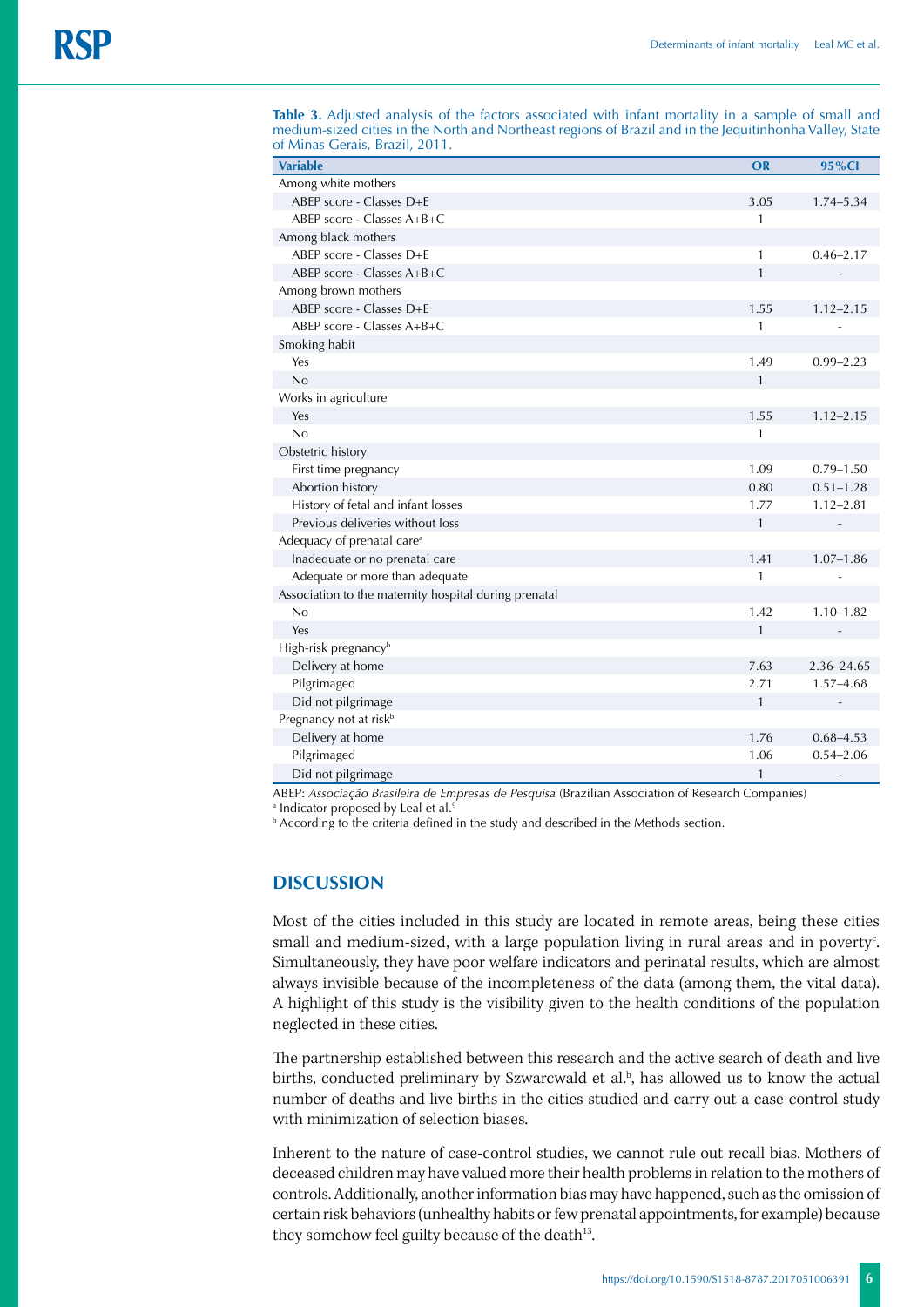**Table 3.** Adjusted analysis of the factors associated with infant mortality in a sample of small and medium-sized cities in the North and Northeast regions of Brazil and in the Jequitinhonha Valley, State of Minas Gerais, Brazil, 2011.

| <b>Variable</b>                                       | <b>OR</b>    | 95%CI         |
|-------------------------------------------------------|--------------|---------------|
| Among white mothers                                   |              |               |
| ABEP score - Classes D+E                              | 3.05         | 1.74-5.34     |
| ABEP score - Classes A+B+C                            | 1            |               |
| Among black mothers                                   |              |               |
| ABEP score - Classes D+E                              | 1            | $0.46 - 2.17$ |
| ABEP score - Classes A+B+C                            | $\mathbf{1}$ |               |
| Among brown mothers                                   |              |               |
| ABEP score - Classes D+E                              | 1.55         | $1.12 - 2.15$ |
| ABEP score - Classes A+B+C                            | 1            |               |
| Smoking habit                                         |              |               |
| Yes                                                   | 1.49         | $0.99 - 2.23$ |
| No                                                    | 1            |               |
| Works in agriculture                                  |              |               |
| Yes                                                   | 1.55         | $1.12 - 2.15$ |
| No                                                    | 1            |               |
| Obstetric history                                     |              |               |
| First time pregnancy                                  | 1.09         | $0.79 - 1.50$ |
| Abortion history                                      | 0.80         | $0.51 - 1.28$ |
| History of fetal and infant losses                    | 1.77         | $1.12 - 2.81$ |
| Previous deliveries without loss                      | 1            |               |
| Adequacy of prenatal care <sup>a</sup>                |              |               |
| Inadequate or no prenatal care                        | 1.41         | $1.07 - 1.86$ |
| Adequate or more than adequate                        | 1            |               |
| Association to the maternity hospital during prenatal |              |               |
| No                                                    | 1.42         | $1.10 - 1.82$ |
| Yes                                                   | $\mathbf{1}$ |               |
| High-risk pregnancy <sup>b</sup>                      |              |               |
| Delivery at home                                      | 7.63         | 2.36-24.65    |
| Pilgrimaged                                           | 2.71         | 1.57-4.68     |
| Did not pilgrimage                                    | $\mathbf{1}$ |               |
| Pregnancy not at risk <sup>b</sup>                    |              |               |
| Delivery at home                                      | 1.76         | $0.68 - 4.53$ |
| Pilgrimaged                                           | 1.06         | $0.54 - 2.06$ |
| Did not pilgrimage                                    | 1            |               |

ABEP: *Associação Brasileira de Empresas de Pesquisa* (Brazilian Association of Research Companies)

<sup>a</sup> Indicator proposed by Leal et al.<sup>9</sup>

b According to the criteria defined in the study and described in the Methods section.

### **DISCUSSION**

Most of the cities included in this study are located in remote areas, being these cities small and medium-sized, with a large population living in rural areas and in poverty<sup>c</sup>. Simultaneously, they have poor welfare indicators and perinatal results, which are almost always invisible because of the incompleteness of the data (among them, the vital data). A highlight of this study is the visibility given to the health conditions of the population neglected in these cities.

The partnership established between this research and the active search of death and live births, conducted preliminary by Szwarcwald et al.<sup>b</sup>, has allowed us to know the actual number of deaths and live births in the cities studied and carry out a case-control study with minimization of selection biases.

Inherent to the nature of case-control studies, we cannot rule out recall bias. Mothers of deceased children may have valued more their health problems in relation to the mothers of controls. Additionally, another information bias may have happened, such as the omission of certain risk behaviors (unhealthy habits or few prenatal appointments, for example) because they somehow feel guilty because of the death<sup>13</sup>.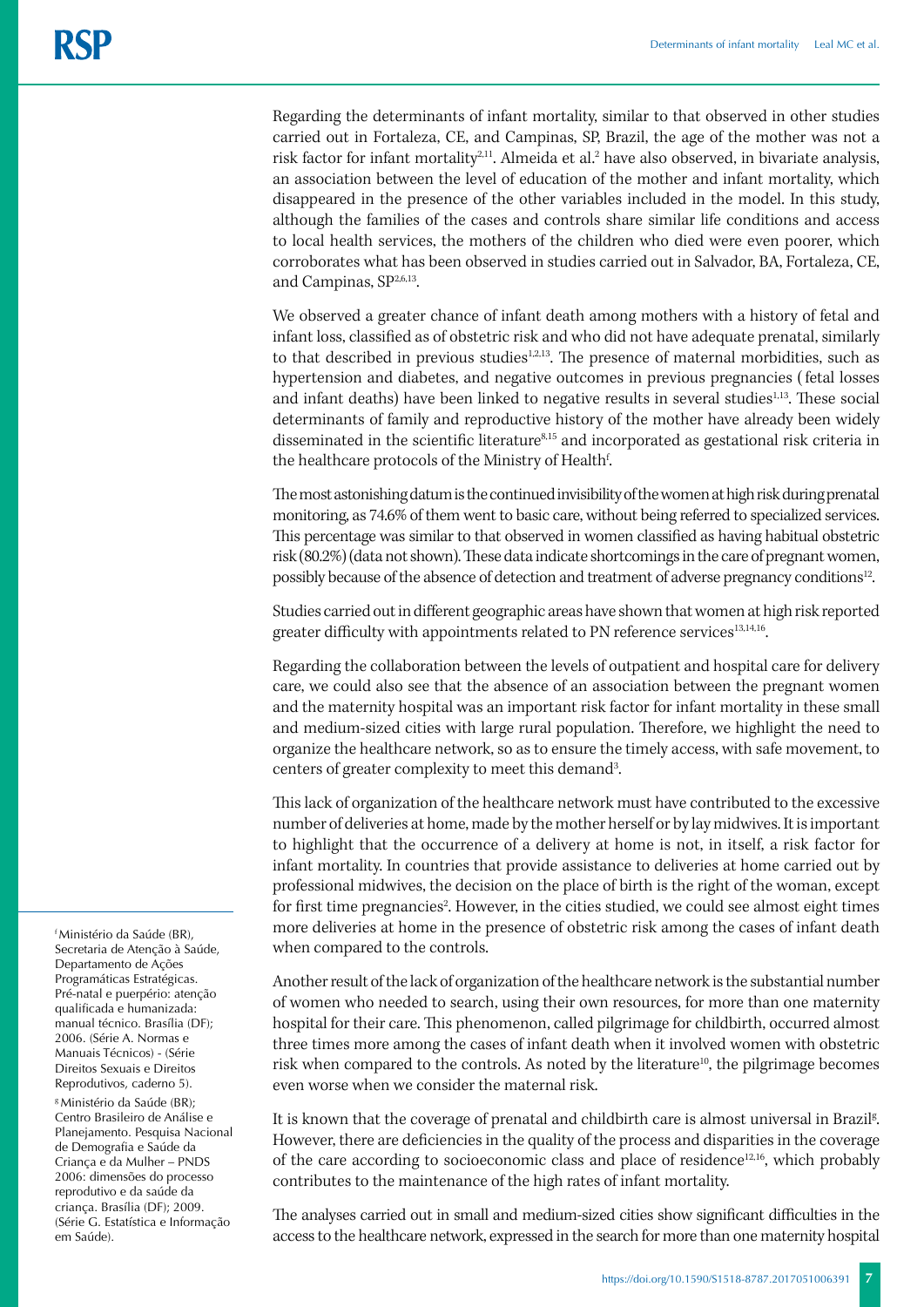Regarding the determinants of infant mortality, similar to that observed in other studies carried out in Fortaleza, CE, and Campinas, SP, Brazil, the age of the mother was not a risk factor for infant mortality<sup>2,11</sup>. Almeida et al.<sup>2</sup> have also observed, in bivariate analysis, an association between the level of education of the mother and infant mortality, which disappeared in the presence of the other variables included in the model. In this study, although the families of the cases and controls share similar life conditions and access to local health services, the mothers of the children who died were even poorer, which corroborates what has been observed in studies carried out in Salvador, BA, Fortaleza, CE, and Campinas, SP<sup>2,6,13</sup>.

We observed a greater chance of infant death among mothers with a history of fetal and infant loss, classified as of obstetric risk and who did not have adequate prenatal, similarly to that described in previous studies<sup>1,2,13</sup>. The presence of maternal morbidities, such as hypertension and diabetes, and negative outcomes in previous pregnancies ( fetal losses and infant deaths) have been linked to negative results in several studies<sup>1,13</sup>. These social determinants of family and reproductive history of the mother have already been widely disseminated in the scientific literature<sup>8,15</sup> and incorporated as gestational risk criteria in the healthcare protocols of the Ministry of Health<sup>f</sup>. .<br>.

The most astonishing datum is the continued invisibility of the women at high risk during prenatal monitoring, as 74.6% of them went to basic care, without being referred to specialized services. This percentage was similar to that observed in women classified as having habitual obstetric risk (80.2%) (data not shown). These data indicate shortcomings in the care of pregnant women, possibly because of the absence of detection and treatment of adverse pregnancy conditions<sup>12</sup>.

Studies carried out in different geographic areas have shown that women at high risk reported greater difficulty with appointments related to PN reference services<sup>13,14,16</sup>.

Regarding the collaboration between the levels of outpatient and hospital care for delivery care, we could also see that the absence of an association between the pregnant women and the maternity hospital was an important risk factor for infant mortality in these small and medium-sized cities with large rural population. Therefore, we highlight the need to organize the healthcare network, so as to ensure the timely access, with safe movement, to centers of greater complexity to meet this demand<sup>3</sup>.

This lack of organization of the healthcare network must have contributed to the excessive number of deliveries at home, made by the mother herself or by lay midwives. It is important to highlight that the occurrence of a delivery at home is not, in itself, a risk factor for infant mortality. In countries that provide assistance to deliveries at home carried out by professional midwives, the decision on the place of birth is the right of the woman, except for first time pregnancies<sup>2</sup>. However, in the cities studied, we could see almost eight times more deliveries at home in the presence of obstetric risk among the cases of infant death when compared to the controls.

Another result of the lack of organization of the healthcare network is the substantial number of women who needed to search, using their own resources, for more than one maternity hospital for their care. This phenomenon, called pilgrimage for childbirth, occurred almost three times more among the cases of infant death when it involved women with obstetric risk when compared to the controls. As noted by the literature<sup>10</sup>, the pilgrimage becomes even worse when we consider the maternal risk.

It is known that the coverage of prenatal and childbirth care is almost universal in Brazil<sup>g</sup>. However, there are deficiencies in the quality of the process and disparities in the coverage of the care according to socioeconomic class and place of residence<sup>12,16</sup>, which probably contributes to the maintenance of the high rates of infant mortality.

The analyses carried out in small and medium-sized cities show significant difficulties in the access to the healthcare network, expressed in the search for more than one maternity hospital

f Ministério da Saúde (BR), Secretaria de Atenção à Saúde, Departamento de Ações Programáticas Estratégicas. Pré-natal e puerpério: atenção qualificada e humanizada: manual técnico. Brasília (DF); 2006. (Série A. Normas e Manuais Técnicos) - (Série Direitos Sexuais e Direitos Reprodutivos, caderno 5).

g Ministério da Saúde (BR); Centro Brasileiro de Análise e Planejamento. Pesquisa Nacional de Demografia e Saúde da Criança e da Mulher – PNDS 2006: dimensões do processo reprodutivo e da saúde da criança. Brasília (DF); 2009. (Série G. Estatística e Informação em Saúde).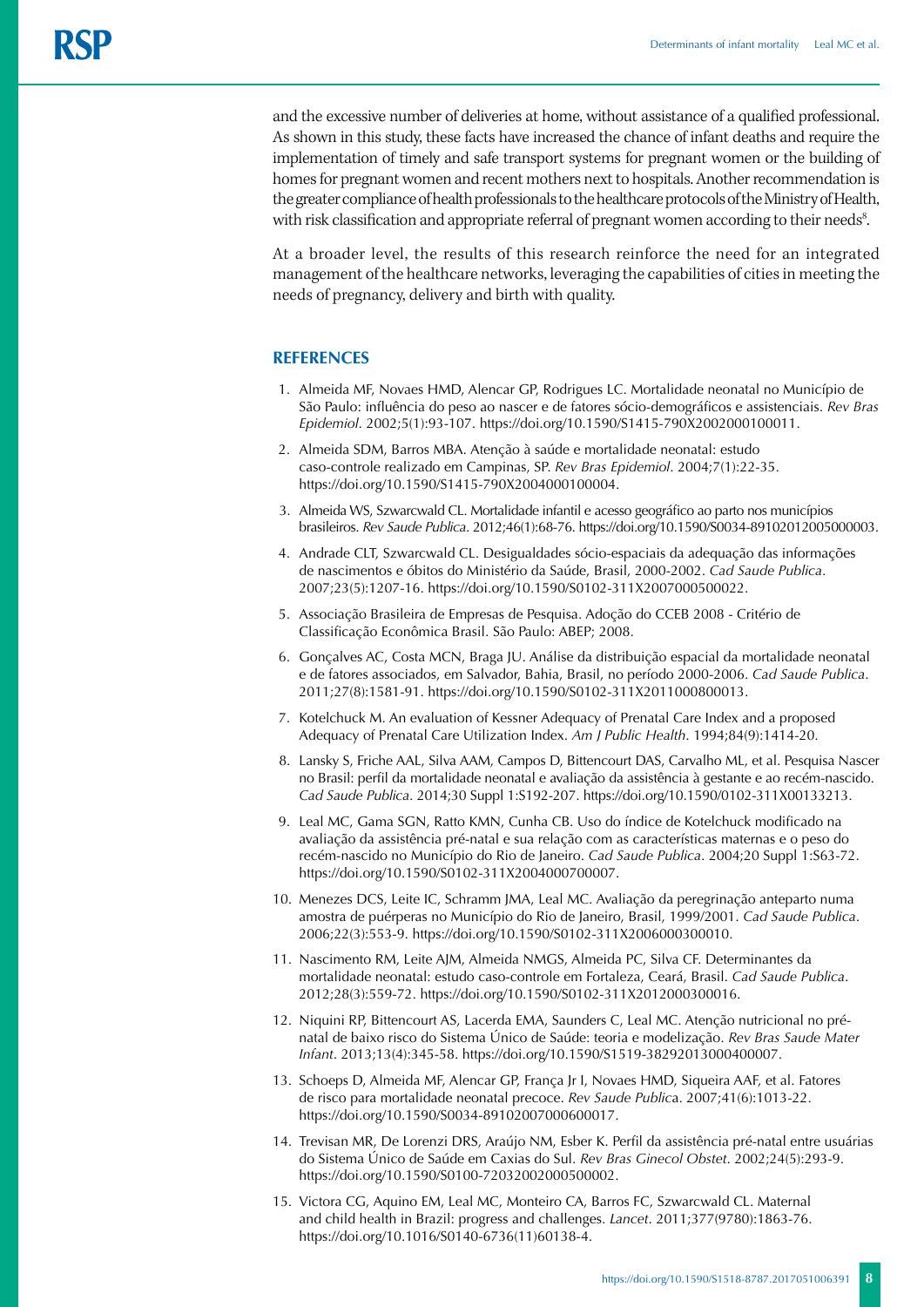and the excessive number of deliveries at home, without assistance of a qualified professional. As shown in this study, these facts have increased the chance of infant deaths and require the implementation of timely and safe transport systems for pregnant women or the building of homes for pregnant women and recent mothers next to hospitals. Another recommendation is the greater compliance of health professionals to the healthcare protocols of the Ministry of Health, with risk classification and appropriate referral of pregnant women according to their needs $8$ .

At a broader level, the results of this research reinforce the need for an integrated management of the healthcare networks, leveraging the capabilities of cities in meeting the needs of pregnancy, delivery and birth with quality.

#### **REFERENCES**

- 1. Almeida MF, Novaes HMD, Alencar GP, Rodrigues LC. Mortalidade neonatal no Município de São Paulo: influência do peso ao nascer e de fatores sócio-demográficos e assistenciais. *Rev Bras Epidemiol*. 2002;5(1):93-107. https://doi.org/10.1590/S1415-790X2002000100011.
- 2. Almeida SDM, Barros MBA. Atenção à saúde e mortalidade neonatal: estudo caso-controle realizado em Campinas, SP. *Rev Bras Epidemiol*. 2004;7(1):22-35. https://doi.org/10.1590/S1415-790X2004000100004.
- 3. Almeida WS, Szwarcwald CL. Mortalidade infantil e acesso geográfico ao parto nos municípios brasileiros. *Rev Saude Publica*. 2012;46(1):68-76. https://doi.org/10.1590/S0034-89102012005000003.
- 4. Andrade CLT, Szwarcwald CL. Desigualdades sócio-espaciais da adequação das informações de nascimentos e óbitos do Ministério da Saúde, Brasil, 2000-2002. *Cad Saude Publica*. 2007;23(5):1207-16. https://doi.org/10.1590/S0102-311X2007000500022.
- 5. Associação Brasileira de Empresas de Pesquisa. Adoção do CCEB 2008 Critério de Classificação Econômica Brasil. São Paulo: ABEP; 2008.
- 6. Gonçalves AC, Costa MCN, Braga JU. Análise da distribuição espacial da mortalidade neonatal e de fatores associados, em Salvador, Bahia, Brasil, no período 2000-2006. *Cad Saude Publica*. 2011;27(8):1581-91. https://doi.org/10.1590/S0102-311X2011000800013.
- 7. Kotelchuck M. An evaluation of Kessner Adequacy of Prenatal Care Index and a proposed Adequacy of Prenatal Care Utilization Index. *Am J Public Health*. 1994;84(9):1414-20.
- 8. Lansky S, Friche AAL, Silva AAM, Campos D, Bittencourt DAS, Carvalho ML, et al. Pesquisa Nascer no Brasil: perfil da mortalidade neonatal e avaliação da assistência à gestante e ao recém-nascido. *Cad Saude Publica*. 2014;30 Suppl 1:S192-207. https://doi.org/10.1590/0102-311X00133213.
- 9. Leal MC, Gama SGN, Ratto KMN, Cunha CB. Uso do índice de Kotelchuck modificado na avaliação da assistência pré-natal e sua relação com as características maternas e o peso do recém-nascido no Município do Rio de Janeiro. *Cad Saude Publica*. 2004;20 Suppl 1:S63-72. https://doi.org/10.1590/S0102-311X2004000700007.
- 10. Menezes DCS, Leite IC, Schramm JMA, Leal MC. Avaliação da peregrinação anteparto numa amostra de puérperas no Município do Rio de Janeiro, Brasil, 1999/2001. *Cad Saude Publica*. 2006;22(3):553-9. https://doi.org/10.1590/S0102-311X2006000300010.
- 11. Nascimento RM, Leite AJM, Almeida NMGS, Almeida PC, Silva CF. Determinantes da mortalidade neonatal: estudo caso-controle em Fortaleza, Ceará, Brasil. *Cad Saude Publica*. 2012;28(3):559-72. https://doi.org/10.1590/S0102-311X2012000300016.
- 12. Niquini RP, Bittencourt AS, Lacerda EMA, Saunders C, Leal MC. Atenção nutricional no prénatal de baixo risco do Sistema Único de Saúde: teoria e modelização. *Rev Bras Saude Mater Infant*. 2013;13(4):345-58. https://doi.org/10.1590/S1519-38292013000400007.
- 13. Schoeps D, Almeida MF, Alencar GP, França Jr I, Novaes HMD, Siqueira AAF, et al. Fatores de risco para mortalidade neonatal precoce. *Rev Saude Public*a. 2007;41(6):1013-22. https://doi.org/10.1590/S0034-89102007000600017.
- 14. Trevisan MR, De Lorenzi DRS, Araújo NM, Esber K. Perfil da assistência pré-natal entre usuárias do Sistema Único de Saúde em Caxias do Sul. *Rev Bras Ginecol Obstet*. 2002;24(5):293-9. https://doi.org/10.1590/S0100-72032002000500002.
- 15. Victora CG, Aquino EM, Leal MC, Monteiro CA, Barros FC, Szwarcwald CL. Maternal and child health in Brazil: progress and challenges. *Lancet*. 2011;377(9780):1863-76. https://doi.org/10.1016/S0140-6736(11)60138-4.